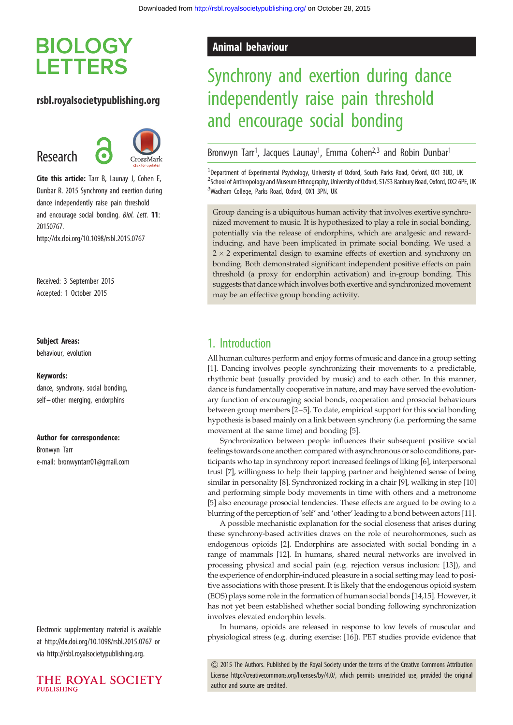# **BIOLOGY LETTERS**

## rsbl.royalsocietypublishing.org

Research



Cite this article: Tarr B, Launay J, Cohen E, Dunbar R. 2015 Synchrony and exertion during dance independently raise pain threshold and encourage social bonding. Biol. Lett. 11: 20150767.

http://dx.doi.org/10.1098/rsbl.2015.0767

Received: 3 September 2015 Accepted: 1 October 2015

#### Subject Areas:

behaviour, evolution

#### Keywords:

dance, synchrony, social bonding, self – other merging, endorphins

#### Author for correspondence:

Bronwyn Tarr e-mail: [bronwyntarr01@gmail.com](mailto:bronwyntarr01@gmail.com)

Electronic supplementary material is available at<http://dx.doi.org/10.1098/rsbl.2015.0767> or via<http://rsbl.royalsocietypublishing.org>.



# Animal behaviour

# Synchrony and exertion during dance independently raise pain threshold and encourage social bonding

Bronwyn Tarr<sup>1</sup>, Jacques Launay<sup>1</sup>, Emma Cohen<sup>2,3</sup> and Robin Dunbar<sup>1</sup>

<sup>1</sup>Department of Experimental Psychology, University of Oxford, South Parks Road, Oxford, OX1 3UD, UK <sup>2</sup>School of Anthropology and Museum Ethnography, University of Oxford, 51/53 Banbury Road, Oxford, OX2 6PE, UK <sup>3</sup>Wadham College, Parks Road, Oxford, OX1 3PN, UK

Group dancing is a ubiquitous human activity that involves exertive synchronized movement to music. It is hypothesized to play a role in social bonding, potentially via the release of endorphins, which are analgesic and rewardinducing, and have been implicated in primate social bonding. We used a  $2 \times 2$  experimental design to examine effects of exertion and synchrony on bonding. Both demonstrated significant independent positive effects on pain threshold (a proxy for endorphin activation) and in-group bonding. This suggests that dance which involves both exertive and synchronized movement may be an effective group bonding activity.

# 1. Introduction

All human cultures perform and enjoy forms of music and dance in a group setting [[1](#page-2-0)]. Dancing involves people synchronizing their movements to a predictable, rhythmic beat (usually provided by music) and to each other. In this manner, dance is fundamentally cooperative in nature, and may have served the evolutionary function of encouraging social bonds, cooperation and prosocial behaviours between group members [[2](#page-2-0)–[5\]](#page-3-0). To date, empirical support for this social bonding hypothesis is based mainly on a link between synchrony (i.e. performing the same movement at the same time) and bonding [[5](#page-3-0)].

Synchronization between people influences their subsequent positive social feelings towards one another: compared with asynchronous or solo conditions, participants who tap in synchrony report increased feelings of liking [\[6](#page-3-0)], interpersonal trust [\[7\]](#page-3-0), willingness to help their tapping partner and heightened sense of being similar in personality [\[8\]](#page-3-0). Synchronized rocking in a chair [[9\]](#page-3-0), walking in step [\[10\]](#page-3-0) and performing simple body movements in time with others and a metronome [[5](#page-3-0)] also encourage prosocial tendencies. These effects are argued to be owing to a blurring of the perception of 'self' and 'other' leading to a bond between actors [\[11\]](#page-3-0).

A possible mechanistic explanation for the social closeness that arises during these synchrony-based activities draws on the role of neurohormones, such as endogenous opioids [\[2\]](#page-2-0). Endorphins are associated with social bonding in a range of mammals [\[12](#page-3-0)]. In humans, shared neural networks are involved in processing physical and social pain (e.g. rejection versus inclusion: [\[13](#page-3-0)]), and the experience of endorphin-induced pleasure in a social setting may lead to positive associations with those present. It is likely that the endogenous opioid system (EOS) plays some role in the formation of human social bonds [[14,15\]](#page-3-0). However, it has not yet been established whether social bonding following synchronization involves elevated endorphin levels.

In humans, opioids are released in response to low levels of muscular and physiological stress (e.g. during exercise: [\[16\]](#page-3-0)). PET studies provide evidence that

& 2015 The Authors. Published by the Royal Society under the terms of the Creative Commons Attribution License [http://creativecommons.org/licenses/by/4.0/, which permits unrestricted use, provided the original](http://creativecommons.org/licenses/by/4.0/) [author and source are credited.](http://creativecommons.org/licenses/by/4.0/)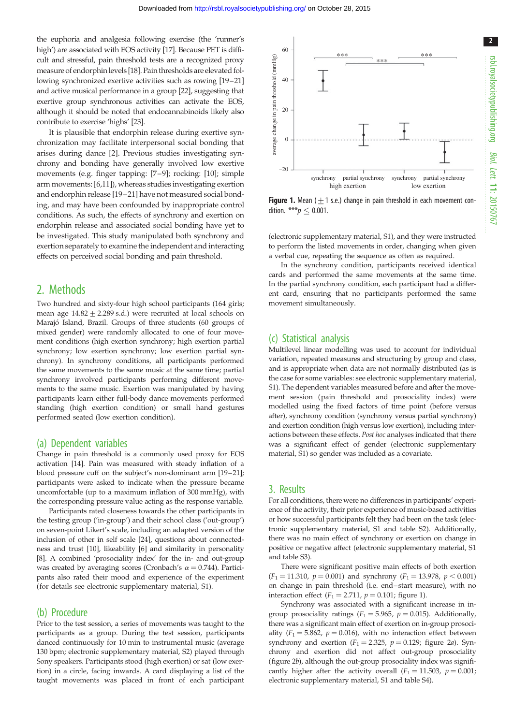the euphoria and analgesia following exercise (the 'runner's high') are associated with EOS activity [[17](#page-3-0)]. Because PET is difficult and stressful, pain threshold tests are a recognized proxy measure of endorphinlevels [\[18\]](#page-3-0). Pain thresholds are elevated following synchronized exertive activities such as rowing [\[19](#page-3-0)–[21\]](#page-3-0) and active musical performance in a group [\[22\]](#page-3-0), suggesting that exertive group synchronous activities can activate the EOS, although it should be noted that endocannabinoids likely also contribute to exercise 'highs' [\[23\]](#page-3-0).

It is plausible that endorphin release during exertive synchronization may facilitate interpersonal social bonding that arises during dance [\[2\]](#page-2-0). Previous studies investigating synchrony and bonding have generally involved low exertive movements (e.g. finger tapping: [[7](#page-3-0)–[9\]](#page-3-0); rocking: [[10\]](#page-3-0); simple arm movements: [[6](#page-3-0),[11](#page-3-0)]), whereas studies investigating exertion and endorphin release [\[19](#page-3-0)–[21](#page-3-0)] have not measured social bonding, and may have been confounded by inappropriate control conditions. As such, the effects of synchrony and exertion on endorphin release and associated social bonding have yet to be investigated. This study manipulated both synchrony and exertion separately to examine the independent and interacting effects on perceived social bonding and pain threshold.

## 2. Methods

Two hundred and sixty-four high school participants (164 girls; mean age  $14.82 + 2.289$  s.d.) were recruited at local schools on Marajó Island, Brazil. Groups of three students (60 groups of mixed gender) were randomly allocated to one of four movement conditions (high exertion synchrony; high exertion partial synchrony; low exertion synchrony; low exertion partial synchrony). In synchrony conditions, all participants performed the same movements to the same music at the same time; partial synchrony involved participants performing different movements to the same music. Exertion was manipulated by having participants learn either full-body dance movements performed standing (high exertion condition) or small hand gestures performed seated (low exertion condition).

#### (a) Dependent variables

Change in pain threshold is a commonly used proxy for EOS activation [[14](#page-3-0)]. Pain was measured with steady inflation of a blood pressure cuff on the subject's non-dominant arm [[19](#page-3-0)–[21\]](#page-3-0); participants were asked to indicate when the pressure became uncomfortable (up to a maximum inflation of 300 mmHg), with the corresponding pressure value acting as the response variable.

Participants rated closeness towards the other participants in the testing group ('in-group') and their school class ('out-group') on seven-point Likert's scale, including an adapted version of the inclusion of other in self scale [\[24\]](#page-3-0), questions about connectedness and trust [[10](#page-3-0)], likeability [[6\]](#page-3-0) and similarity in personality [\[8](#page-3-0)]. A combined 'prosociality index' for the in- and out-group was created by averaging scores (Cronbach's  $\alpha = 0.744$ ). Participants also rated their mood and experience of the experiment (for details see electronic supplementary material, S1).

### (b) Procedure

Prior to the test session, a series of movements was taught to the participants as a group. During the test session, participants danced continuously for 10 min to instrumental music (average 130 bpm; electronic supplementary material, S2) played through Sony speakers. Participants stood (high exertion) or sat (low exertion) in a circle, facing inwards. A card displaying a list of the taught movements was placed in front of each participant



**Figure 1.** Mean ( $\pm$ 1 s.e.) change in pain threshold in each movement condition. \*\*\* $p \leq 0.001$ .

(electronic supplementary material, S1), and they were instructed to perform the listed movements in order, changing when given a verbal cue, repeating the sequence as often as required.

In the synchrony condition, participants received identical cards and performed the same movements at the same time. In the partial synchrony condition, each participant had a different card, ensuring that no participants performed the same movement simultaneously.

### (c) Statistical analysis

Multilevel linear modelling was used to account for individual variation, repeated measures and structuring by group and class, and is appropriate when data are not normally distributed (as is the case for some variables: see electronic supplementary material, S1). The dependent variables measured before and after the movement session (pain threshold and prosociality index) were modelled using the fixed factors of time point (before versus after), synchrony condition (synchrony versus partial synchrony) and exertion condition (high versus low exertion), including interactions between these effects. Post hoc analyses indicated that there was a significant effect of gender (electronic supplementary material, S1) so gender was included as a covariate.

## 3. Results

For all conditions, there were no differences in participants' experience of the activity, their prior experience of music-based activities or how successful participants felt they had been on the task (electronic supplementary material, S1 and table S2). Additionally, there was no main effect of synchrony or exertion on change in positive or negative affect (electronic supplementary material, S1 and table S3).

There were significant positive main effects of both exertion  $(F_1 = 11.310, p = 0.001)$  and synchrony  $(F_1 = 13.978, p < 0.001)$ on change in pain threshold (i.e. end–start measure), with no interaction effect ( $F_1 = 2.711$ ,  $p = 0.101$ ; figure 1).

Synchrony was associated with a significant increase in ingroup prosociality ratings ( $F_1 = 5.965$ ,  $p = 0.015$ ). Additionally, there was a significant main effect of exertion on in-group prosociality ( $F_1 = 5.862$ ,  $p = 0.016$ ), with no interaction effect between synchrony and exertion  $(F_1 = 2.325, p = 0.129)$ ; [figure 2](#page-2-0)a). Synchrony and exertion did not affect out-group prosociality ([figure 2](#page-2-0)b), although the out-group prosociality index was significantly higher after the activity overall  $(F_1 = 11.503, p = 0.001;$ electronic supplementary material, S1 and table S4).

2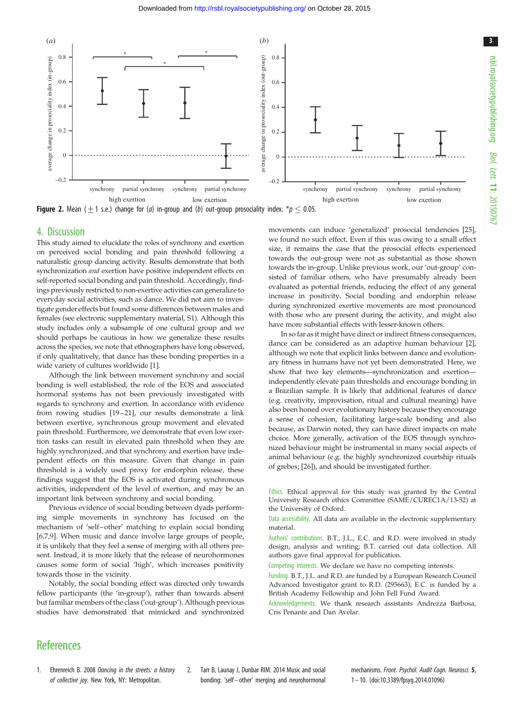<span id="page-2-0"></span>

**Figure 2.** Mean ( $\pm$ 1 s.e.) change for (*a*) in-group and (*b*) out-group prosociality index. \**p*  $\leq$  0.05.

#### 4. Discussion

This study aimed to elucidate the roles of synchrony and exertion on perceived social bonding and pain threshold following a naturalistic group dancing activity. Results demonstrate that both synchronization and exertion have positive independent effects on self-reported social bonding and pain threshold. Accordingly, findings previously restricted to non-exertive activities can generalize to everyday social activities, such as dance. We did not aim to investigate gender effects but found some differences between males and females (see electronic supplementary material, S1). Although this study includes only a subsample of one cultural group and we should perhaps be cautious in how we generalize these results across the species, we note that ethnographers have long observed, if only qualitatively, that dance has these bonding properties in a wide variety of cultures worldwide [1].

Although the link between movement synchrony and social bonding is well established, the role of the EOS and associated hormonal systems has not been previously investigated with regards to synchrony and exertion. In accordance with evidence from rowing studies [\[19](#page-3-0)-21], our results demonstrate a link between exertive, synchronous group movement and elevated pain threshold. Furthermore, we demonstrate that even low exertion tasks can result in elevated pain threshold when they are highly synchronized, and that synchrony and exertion have independent effects on this measure. Given that change in pain threshold is a widely used proxy for endorphin release, these findings suggest that the EOS is activated during synchronous activities, independent of the level of exertion, and may be an important link between synchrony and social bonding.

Previous evidence of social bonding between dyads performing simple movements in synchrony has focused on the mechanism of 'self –other' matching to explain social bonding [\[6](#page-3-0),[7,9](#page-3-0)]. When music and dance involve large groups of people, it is unlikely that they feel a sense of merging with all others present. Instead, it is more likely that the release of neurohormones causes some form of social 'high', which increases positivity towards those in the vicinity.

Notably, the social bonding effect was directed only towards fellow participants (the 'in-group'), rather than towards absent but familiar members of the class ('out-group'). Although previous studies have demonstrated that mimicked and synchronized

movements can induce 'generalized' prosocial tendencies [\[25\]](#page-3-0), we found no such effect. Even if this was owing to a small effect size, it remains the case that the prosocial effects experienced towards the out-group were not as substantial as those shown towards the in-group. Unlike previous work, our 'out-group' consisted of familiar others, who have presumably already been evaluated as potential friends, reducing the effect of any general increase in positivity. Social bonding and endorphin release during synchronized exertive movements are most pronounced with those who are present during the activity, and might also have more substantial effects with lesser-known others.

In so far as it might have direct or indirect fitness consequences, dance can be considered as an adaptive human behaviour [2], although we note that explicit links between dance and evolutionary fitness in humans have not yet been demonstrated. Here, we show that two key elements—synchronization and exertion independently elevate pain thresholds and encourage bonding in a Brazilian sample. It is likely that additional features of dance (e.g. creativity, improvisation, ritual and cultural meaning) have also been honed over evolutionary history because they encourage a sense of cohesion, facilitating large-scale bonding and also because, as Darwin noted, they can have direct impacts on mate choice. More generally, activation of the EOS through synchronized behaviour might be instrumental in many social aspects of animal behaviour (e.g. the highly synchronized courtship rituals of grebes; [\[26\]](#page-3-0)), and should be investigated further.

Ethics. Ethical approval for this study was granted by the Central University Research ethics Committee (SAME/CUREC1A/13-52) at the University of Oxford.

Data accessibility. All data are available in the electronic supplementary material.

Authors' contributions. B.T., J.L., E.C. and R.D. were involved in study design, analysis and writing; B.T. carried out data collection. All authors gave final approval for publication.

Competing interests. We declare we have no competing interests.

Funding. B.T., J.L. and R.D. are funded by a European Research Council Advanced Investigator grant to R.D. (295663); E.C. is funded by a British Academy Fellowship and John Fell Fund Award.

Acknowledgements. We thank research assistants Andrezza Barbosa, Cris Penante and Dan Avelar.

# **References**

- 1. Ehrenreich B. 2008 Dancing in the streets: a history of collective joy. New York, NY: Metropolitan.
- 2. Tarr B, Launay J, Dunbar RIM. 2014 Music and social bonding: 'self – other' merging and neurohormonal

mechanisms. Front. Psychol. Audit Coan. Neurosci. 5, 1– 10. [\(doi:10.3389/fpsyg.2014.01096\)](http://dx.doi.org/10.3389/fpsyg.2014.01096)

3